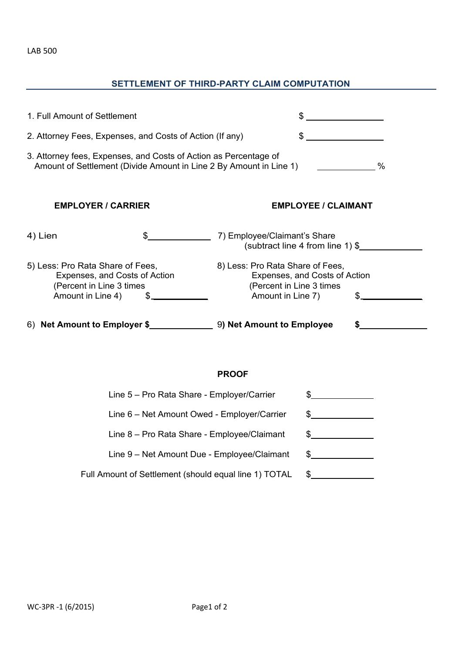## LAB 500

## **SETTLEMENT OF THIRD-PARTY CLAIM COMPUTATION**

| 1. Full Amount of Settlement                                                                                                                |    |                                                                                                                     |  |  |  |
|---------------------------------------------------------------------------------------------------------------------------------------------|----|---------------------------------------------------------------------------------------------------------------------|--|--|--|
| 2. Attorney Fees, Expenses, and Costs of Action (If any)                                                                                    |    |                                                                                                                     |  |  |  |
| 3. Attorney fees, Expenses, and Costs of Action as Percentage of<br>Amount of Settlement (Divide Amount in Line 2 By Amount in Line 1)<br>% |    |                                                                                                                     |  |  |  |
| <b>EMPLOYER / CARRIER</b><br><b>EMPLOYEE / CLAIMANT</b>                                                                                     |    |                                                                                                                     |  |  |  |
| 4) Lien                                                                                                                                     | \$ | 7) Employee/Claimant's Share<br>(subtract line 4 from line 1) \$                                                    |  |  |  |
| 5) Less: Pro Rata Share of Fees,<br>Expenses, and Costs of Action<br>(Percent in Line 3 times)<br>Amount in Line 4)                         |    | 8) Less: Pro Rata Share of Fees,<br>Expenses, and Costs of Action<br>(Percent in Line 3 times)<br>Amount in Line 7) |  |  |  |
|                                                                                                                                             |    |                                                                                                                     |  |  |  |

## **PROOF**

| Line 5 - Pro Rata Share - Employer/Carrier            |  |
|-------------------------------------------------------|--|
| Line 6 - Net Amount Owed - Employer/Carrier           |  |
| Line 8 - Pro Rata Share - Employee/Claimant           |  |
| Line 9 - Net Amount Due - Employee/Claimant           |  |
| Full Amount of Settlement (should equal line 1) TOTAL |  |